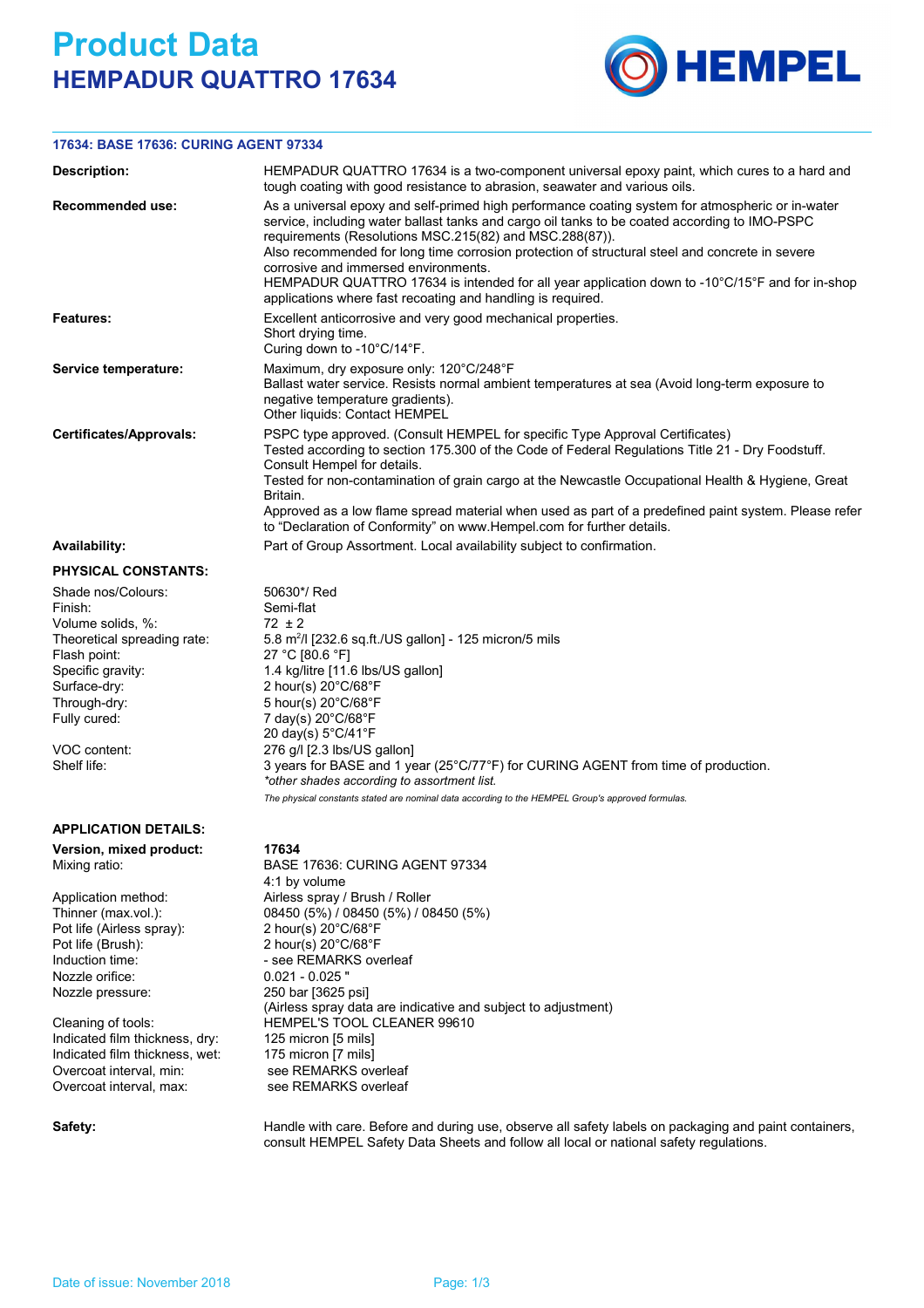## **Product Data HEMPADUR QUATTRO 17634**



## **17634: BASE 17636: CURING AGENT 97334**

| Description:                                                                                                                                                                                          | HEMPADUR QUATTRO 17634 is a two-component universal epoxy paint, which cures to a hard and<br>tough coating with good resistance to abrasion, seawater and various oils.                                                                                                                                                                                                                                                                                                                                                                                                |  |  |  |  |  |
|-------------------------------------------------------------------------------------------------------------------------------------------------------------------------------------------------------|-------------------------------------------------------------------------------------------------------------------------------------------------------------------------------------------------------------------------------------------------------------------------------------------------------------------------------------------------------------------------------------------------------------------------------------------------------------------------------------------------------------------------------------------------------------------------|--|--|--|--|--|
| Recommended use:                                                                                                                                                                                      | As a universal epoxy and self-primed high performance coating system for atmospheric or in-water<br>service, including water ballast tanks and cargo oil tanks to be coated according to IMO-PSPC<br>requirements (Resolutions MSC.215(82) and MSC.288(87)).<br>Also recommended for long time corrosion protection of structural steel and concrete in severe<br>corrosive and immersed environments.<br>HEMPADUR QUATTRO 17634 is intended for all year application down to -10°C/15°F and for in-shop<br>applications where fast recoating and handling is required. |  |  |  |  |  |
| Features:                                                                                                                                                                                             | Excellent anticorrosive and very good mechanical properties.<br>Short drying time.<br>Curing down to -10°C/14°F.                                                                                                                                                                                                                                                                                                                                                                                                                                                        |  |  |  |  |  |
| Service temperature:                                                                                                                                                                                  | Maximum, dry exposure only: 120°C/248°F<br>Ballast water service. Resists normal ambient temperatures at sea (Avoid long-term exposure to<br>negative temperature gradients).<br>Other liquids: Contact HEMPEL                                                                                                                                                                                                                                                                                                                                                          |  |  |  |  |  |
| <b>Certificates/Approvals:</b>                                                                                                                                                                        | PSPC type approved. (Consult HEMPEL for specific Type Approval Certificates)<br>Tested according to section 175.300 of the Code of Federal Regulations Title 21 - Dry Foodstuff.<br>Consult Hempel for details.<br>Tested for non-contamination of grain cargo at the Newcastle Occupational Health & Hygiene, Great<br>Britain.<br>Approved as a low flame spread material when used as part of a predefined paint system. Please refer<br>to "Declaration of Conformity" on www.Hempel.com for further details.                                                       |  |  |  |  |  |
| <b>Availability:</b>                                                                                                                                                                                  | Part of Group Assortment. Local availability subject to confirmation.                                                                                                                                                                                                                                                                                                                                                                                                                                                                                                   |  |  |  |  |  |
| <b>PHYSICAL CONSTANTS:</b>                                                                                                                                                                            |                                                                                                                                                                                                                                                                                                                                                                                                                                                                                                                                                                         |  |  |  |  |  |
| Shade nos/Colours:<br>Finish:<br>Volume solids, %:<br>Theoretical spreading rate:<br>Flash point:<br>Specific gravity:<br>Surface-dry:<br>Through-dry:<br>Fully cured:<br>VOC content:<br>Shelf life: | 50630*/ Red<br>Semi-flat<br>$72 \pm 2$<br>5.8 m <sup>2</sup> /l [232.6 sq.ft./US gallon] - 125 micron/5 mils<br>27 °C [80.6 °F]<br>1.4 kg/litre [11.6 lbs/US gallon]<br>2 hour(s) $20^{\circ}$ C/68 $^{\circ}$ F<br>5 hour(s) 20°C/68°F<br>7 day(s) 20°C/68°F<br>20 day(s) 5°C/41°F<br>276 g/l [2.3 lbs/US gallon]<br>3 years for BASE and 1 year (25°C/77°F) for CURING AGENT from time of production.<br>*other shades according to assortment list.<br>The physical constants stated are nominal data according to the HEMPEL Group's approved formulas.             |  |  |  |  |  |
| <b>APPLICATION DETAILS:</b>                                                                                                                                                                           |                                                                                                                                                                                                                                                                                                                                                                                                                                                                                                                                                                         |  |  |  |  |  |
| Version, mixed product:<br>Mixing ratio:<br>Annication mathod.                                                                                                                                        | 17634<br>BASE 17636: CURING AGENT 97334<br>4:1 by volume<br>Airlean corou / Drugh / Deller                                                                                                                                                                                                                                                                                                                                                                                                                                                                              |  |  |  |  |  |

Application method: Thinner (max.vol.): Nozzle orifice: 0.021 - 0.025 " Nozzle pressure: 250 bar [3625 psi] Pot life (Airless spray): Pot life (Brush): 2 hour(s) 20°C/68°F<br>Induction time: 2 hour(s) 20°C/68°F

Indicated film thickness, dry: 125 micron [5 mils] Indicated film thickness, wet: 175 micron [7 mils] Overcoat interval, min: see REMARKS overleaf Overcoat interval, max: see REMARKS overleaf

Airless spray / Brush / Roller 08450 (5%) / 08450 (5%) / 08450 (5%)<br>2 hour(s) 20°C/68°F (Airless spray data are indicative and subject to adjustment) Cleaning of tools: HEMPEL'S TOOL CLEANER 99610 - see REMARKS overleaf

Safety: **Handle with care. Before and during use**, observe all safety labels on packaging and paint containers, consult HEMPEL Safety Data Sheets and follow all local or national safety regulations.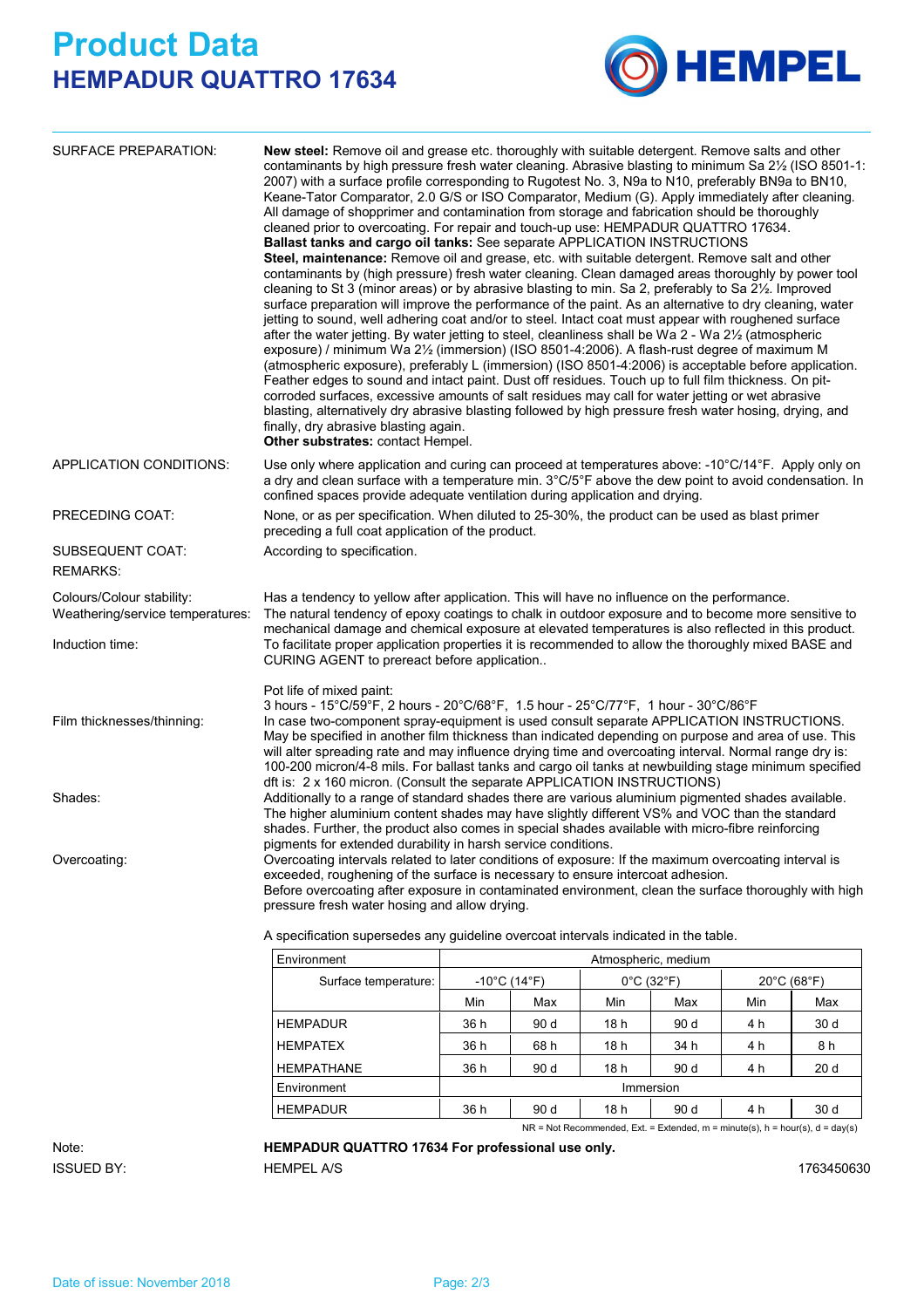## **Product Data HEMPADUR QUATTRO 17634**



| SURFACE PREPARATION:                                                             | finally, dry abrasive blasting again.<br>Other substrates: contact Hempel.                                                                                                                                                                                                                                                                                                                                                                                                                                                            | New steel: Remove oil and grease etc. thoroughly with suitable detergent. Remove salts and other<br>contaminants by high pressure fresh water cleaning. Abrasive blasting to minimum Sa 21/2 (ISO 8501-1:<br>2007) with a surface profile corresponding to Rugotest No. 3, N9a to N10, preferably BN9a to BN10,<br>Keane-Tator Comparator, 2.0 G/S or ISO Comparator, Medium (G). Apply immediately after cleaning.<br>All damage of shopprimer and contamination from storage and fabrication should be thoroughly<br>cleaned prior to overcoating. For repair and touch-up use: HEMPADUR QUATTRO 17634.<br>Ballast tanks and cargo oil tanks: See separate APPLICATION INSTRUCTIONS<br>Steel, maintenance: Remove oil and grease, etc. with suitable detergent. Remove salt and other<br>contaminants by (high pressure) fresh water cleaning. Clean damaged areas thoroughly by power tool<br>cleaning to St 3 (minor areas) or by abrasive blasting to min. Sa 2, preferably to Sa 2½. Improved<br>surface preparation will improve the performance of the paint. As an alternative to dry cleaning, water<br>jetting to sound, well adhering coat and/or to steel. Intact coat must appear with roughened surface<br>after the water jetting. By water jetting to steel, cleanliness shall be Wa 2 - Wa 21/2 (atmospheric<br>exposure) / minimum Wa 21/2 (immersion) (ISO 8501-4:2006). A flash-rust degree of maximum M<br>(atmospheric exposure), preferably L (immersion) (ISO 8501-4:2006) is acceptable before application.<br>Feather edges to sound and intact paint. Dust off residues. Touch up to full film thickness. On pit-<br>corroded surfaces, excessive amounts of salt residues may call for water jetting or wet abrasive<br>blasting, alternatively dry abrasive blasting followed by high pressure fresh water hosing, drying, and |                     |     |                                 |     |             |  |  |
|----------------------------------------------------------------------------------|---------------------------------------------------------------------------------------------------------------------------------------------------------------------------------------------------------------------------------------------------------------------------------------------------------------------------------------------------------------------------------------------------------------------------------------------------------------------------------------------------------------------------------------|--------------------------------------------------------------------------------------------------------------------------------------------------------------------------------------------------------------------------------------------------------------------------------------------------------------------------------------------------------------------------------------------------------------------------------------------------------------------------------------------------------------------------------------------------------------------------------------------------------------------------------------------------------------------------------------------------------------------------------------------------------------------------------------------------------------------------------------------------------------------------------------------------------------------------------------------------------------------------------------------------------------------------------------------------------------------------------------------------------------------------------------------------------------------------------------------------------------------------------------------------------------------------------------------------------------------------------------------------------------------------------------------------------------------------------------------------------------------------------------------------------------------------------------------------------------------------------------------------------------------------------------------------------------------------------------------------------------------------------------------------------------------------------------------------------------------------------------------------------------|---------------------|-----|---------------------------------|-----|-------------|--|--|
| APPLICATION CONDITIONS:                                                          | Use only where application and curing can proceed at temperatures above: -10°C/14°F. Apply only on<br>a dry and clean surface with a temperature min. 3°C/5°F above the dew point to avoid condensation. In<br>confined spaces provide adequate ventilation during application and drying.                                                                                                                                                                                                                                            |                                                                                                                                                                                                                                                                                                                                                                                                                                                                                                                                                                                                                                                                                                                                                                                                                                                                                                                                                                                                                                                                                                                                                                                                                                                                                                                                                                                                                                                                                                                                                                                                                                                                                                                                                                                                                                                              |                     |     |                                 |     |             |  |  |
| PRECEDING COAT:                                                                  | None, or as per specification. When diluted to 25-30%, the product can be used as blast primer<br>preceding a full coat application of the product.                                                                                                                                                                                                                                                                                                                                                                                   |                                                                                                                                                                                                                                                                                                                                                                                                                                                                                                                                                                                                                                                                                                                                                                                                                                                                                                                                                                                                                                                                                                                                                                                                                                                                                                                                                                                                                                                                                                                                                                                                                                                                                                                                                                                                                                                              |                     |     |                                 |     |             |  |  |
| SUBSEQUENT COAT:<br><b>REMARKS:</b>                                              | According to specification.                                                                                                                                                                                                                                                                                                                                                                                                                                                                                                           |                                                                                                                                                                                                                                                                                                                                                                                                                                                                                                                                                                                                                                                                                                                                                                                                                                                                                                                                                                                                                                                                                                                                                                                                                                                                                                                                                                                                                                                                                                                                                                                                                                                                                                                                                                                                                                                              |                     |     |                                 |     |             |  |  |
| Colours/Colour stability:<br>Weathering/service temperatures:<br>Induction time: | Has a tendency to yellow after application. This will have no influence on the performance.<br>The natural tendency of epoxy coatings to chalk in outdoor exposure and to become more sensitive to<br>mechanical damage and chemical exposure at elevated temperatures is also reflected in this product.<br>To facilitate proper application properties it is recommended to allow the thoroughly mixed BASE and<br>CURING AGENT to prereact before application                                                                      |                                                                                                                                                                                                                                                                                                                                                                                                                                                                                                                                                                                                                                                                                                                                                                                                                                                                                                                                                                                                                                                                                                                                                                                                                                                                                                                                                                                                                                                                                                                                                                                                                                                                                                                                                                                                                                                              |                     |     |                                 |     |             |  |  |
| Film thicknesses/thinning:                                                       | Pot life of mixed paint:<br>3 hours - 15°C/59°F, 2 hours - 20°C/68°F, 1.5 hour - 25°C/77°F, 1 hour - 30°C/86°F<br>In case two-component spray-equipment is used consult separate APPLICATION INSTRUCTIONS.<br>May be specified in another film thickness than indicated depending on purpose and area of use. This<br>will alter spreading rate and may influence drying time and overcoating interval. Normal range dry is:<br>100-200 micron/4-8 mils. For ballast tanks and cargo oil tanks at newbuilding stage minimum specified |                                                                                                                                                                                                                                                                                                                                                                                                                                                                                                                                                                                                                                                                                                                                                                                                                                                                                                                                                                                                                                                                                                                                                                                                                                                                                                                                                                                                                                                                                                                                                                                                                                                                                                                                                                                                                                                              |                     |     |                                 |     |             |  |  |
| Shades:                                                                          | dft is: 2 x 160 micron. (Consult the separate APPLICATION INSTRUCTIONS)<br>Additionally to a range of standard shades there are various aluminium pigmented shades available.<br>The higher aluminium content shades may have slightly different VS% and VOC than the standard<br>shades. Further, the product also comes in special shades available with micro-fibre reinforcing                                                                                                                                                    |                                                                                                                                                                                                                                                                                                                                                                                                                                                                                                                                                                                                                                                                                                                                                                                                                                                                                                                                                                                                                                                                                                                                                                                                                                                                                                                                                                                                                                                                                                                                                                                                                                                                                                                                                                                                                                                              |                     |     |                                 |     |             |  |  |
| Overcoating:                                                                     | pigments for extended durability in harsh service conditions.<br>Overcoating intervals related to later conditions of exposure: If the maximum overcoating interval is<br>exceeded, roughening of the surface is necessary to ensure intercoat adhesion.<br>Before overcoating after exposure in contaminated environment, clean the surface thoroughly with high<br>pressure fresh water hosing and allow drying.                                                                                                                    |                                                                                                                                                                                                                                                                                                                                                                                                                                                                                                                                                                                                                                                                                                                                                                                                                                                                                                                                                                                                                                                                                                                                                                                                                                                                                                                                                                                                                                                                                                                                                                                                                                                                                                                                                                                                                                                              |                     |     |                                 |     |             |  |  |
|                                                                                  | A specification supersedes any quideline overcoat intervals indicated in the table.                                                                                                                                                                                                                                                                                                                                                                                                                                                   |                                                                                                                                                                                                                                                                                                                                                                                                                                                                                                                                                                                                                                                                                                                                                                                                                                                                                                                                                                                                                                                                                                                                                                                                                                                                                                                                                                                                                                                                                                                                                                                                                                                                                                                                                                                                                                                              |                     |     |                                 |     |             |  |  |
|                                                                                  | Environment                                                                                                                                                                                                                                                                                                                                                                                                                                                                                                                           |                                                                                                                                                                                                                                                                                                                                                                                                                                                                                                                                                                                                                                                                                                                                                                                                                                                                                                                                                                                                                                                                                                                                                                                                                                                                                                                                                                                                                                                                                                                                                                                                                                                                                                                                                                                                                                                              | Atmospheric, medium |     |                                 |     |             |  |  |
|                                                                                  | Surface temperature:                                                                                                                                                                                                                                                                                                                                                                                                                                                                                                                  | $-10^{\circ}$ C (14 $^{\circ}$ F)                                                                                                                                                                                                                                                                                                                                                                                                                                                                                                                                                                                                                                                                                                                                                                                                                                                                                                                                                                                                                                                                                                                                                                                                                                                                                                                                                                                                                                                                                                                                                                                                                                                                                                                                                                                                                            |                     |     | $0^{\circ}$ C (32 $^{\circ}$ F) |     | 20°C (68°F) |  |  |
|                                                                                  |                                                                                                                                                                                                                                                                                                                                                                                                                                                                                                                                       | Min                                                                                                                                                                                                                                                                                                                                                                                                                                                                                                                                                                                                                                                                                                                                                                                                                                                                                                                                                                                                                                                                                                                                                                                                                                                                                                                                                                                                                                                                                                                                                                                                                                                                                                                                                                                                                                                          | Max                 | Min | Max                             | Min | Max         |  |  |

 $NR = Not$  Recommended, Ext. = Extended,  $m = minute(s)$ ,  $h = hour(s)$ ,  $d = day(s)$ 

## Note: **HEMPADUR QUATTRO 17634 For professional use only.**

Environment Immersion

HEMPATEX | 36 h 68 h 18 h 34 h 4 h 8 h

HEMPADUR | 36 h 90 d 18 h 90 d 4 h 30 d

HEMPATHANE | 36 h 90 d | 18 h | 90 d | 4 h | 20 d

HEMPADUR | 36 h 90 d 18 h 90 d 4 h 30 d

ISSUED BY: HEMPEL A/S 1763450630